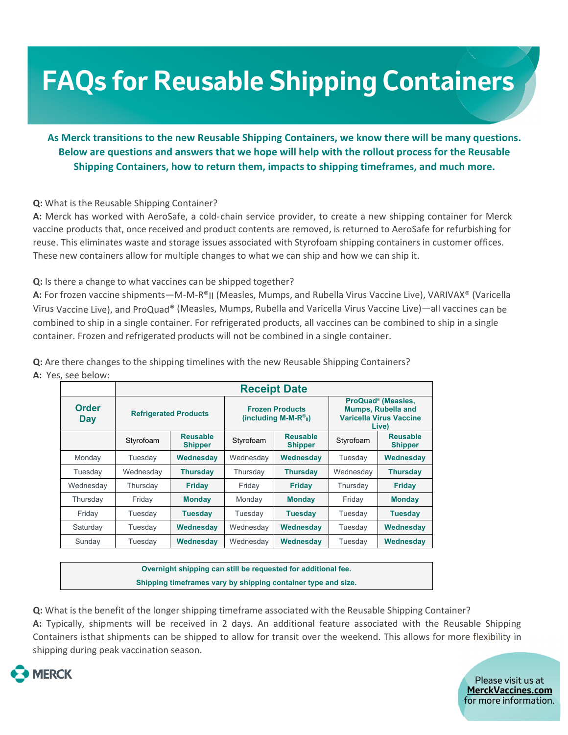# **FAQs for Reusable Shipping Containers**

## **As Merck transitions to the new Reusable Shipping Containers, we know there will be many questions. Below are questions and answers that we hope will help with the rollout process for the Reusable Shipping Containers, how to return them, impacts to shipping timeframes, and much more.**

#### **Q:** What is the Reusable Shipping Container?

**A:** Merck has worked with AeroSafe, a cold‐chain service provider, to create a new shipping container for Merck vaccine products that, once received and product contents are removed, is returned to AeroSafe for refurbishing for reuse. This eliminates waste and storage issues associated with Styrofoam shipping containers in customer offices. These new containers allow for multiple changes to what we can ship and how we can ship it.

#### **Q:** Is there a change to what vaccines can be shipped together?

**A:** For frozen vaccine shipments—M‐M‐R®II (Measles, Mumps, and Rubella Virus Vaccine Live), VARIVAX® (Varicella Virus Vaccine Live), and ProQuad® (Measles, Mumps, Rubella and Varicella Virus Vaccine Live)—all vaccines can be combined to ship in a single container. For refrigerated products, all vaccines can be combined to ship in a single container. Frozen and refrigerated products will not be combined in a single container.

**Q:** Are there changes to the shipping timelines with the new Reusable Shipping Containers? **A:** Yes, see below:

|                     | <b>Receipt Date</b>          |                                   |                                                                        |                                   |                                                                                                        |                                   |  |  |
|---------------------|------------------------------|-----------------------------------|------------------------------------------------------------------------|-----------------------------------|--------------------------------------------------------------------------------------------------------|-----------------------------------|--|--|
| <b>Order</b><br>Day | <b>Refrigerated Products</b> |                                   | <b>Frozen Products</b><br>(including M-M- $R^{\circ}_{\mathfrak{u}}$ ) |                                   | ProQuad <sup>®</sup> (Measles,<br><b>Mumps, Rubella and</b><br><b>Varicella Virus Vaccine</b><br>Live) |                                   |  |  |
|                     | Styrofoam                    | <b>Reusable</b><br><b>Shipper</b> | Styrofoam                                                              | <b>Reusable</b><br><b>Shipper</b> | Styrofoam                                                                                              | <b>Reusable</b><br><b>Shipper</b> |  |  |
| Monday              | Tuesday                      | Wednesday                         | Wednesday                                                              | Wednesday                         | Tuesday                                                                                                | Wednesday                         |  |  |
| Tuesday             | Wednesday                    | <b>Thursday</b>                   | Thursday                                                               | <b>Thursday</b>                   | Wednesday                                                                                              | <b>Thursday</b>                   |  |  |
| Wednesday           | Thursday                     | <b>Friday</b>                     | Friday                                                                 | <b>Friday</b>                     | Thursday                                                                                               | <b>Friday</b>                     |  |  |
| Thursday            | Friday                       | <b>Monday</b>                     | Monday                                                                 | <b>Monday</b>                     | Friday                                                                                                 | <b>Monday</b>                     |  |  |
| Friday              | Tuesday                      | Tuesday                           | Tuesday                                                                | Tuesday                           | Tuesday                                                                                                | <b>Tuesday</b>                    |  |  |
| Saturday            | Tuesday                      | Wednesday                         | Wednesday                                                              | Wednesday                         | Tuesday                                                                                                | Wednesday                         |  |  |
| Sunday              | Tuesday                      | Wednesday                         | Wednesday                                                              | Wednesday                         | Tuesday                                                                                                | Wednesday                         |  |  |

**Overnight shipping can still be requested for additional fee. Shipping timeframes vary by shipping container type and size.** 

**Q:** What is the benefit of the longer shipping timeframe associated with the Reusable Shipping Container? **A:** Typically, shipments will be received in 2 days. An additional feature associated with the Reusable Shipping Containers isthat shipments can be shipped to allow for transit over the weekend. This allows for more flexibility in

shipping during peak vaccination season.

 $\overline{a}$ 



Please visit us at **MerckVaccines.com**  for more information.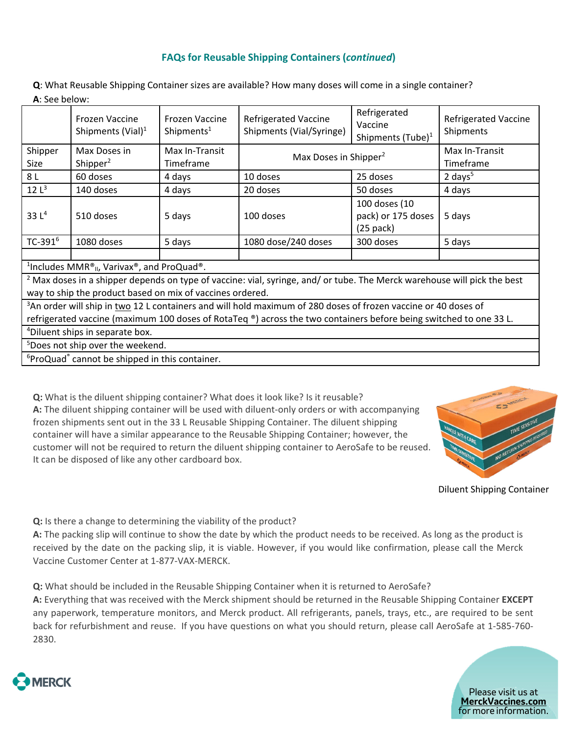## **FAQs for Reusable Shipping Containers (***continued***)**

**Q**: What Reusable Shipping Container sizes are available? How many doses will come in a single container? **A**: See below:

|                                                                                                                                                                                                  | Frozen Vaccine<br>Shipments (Vial) $1$ | Frozen Vaccine<br>Shipments <sup>1</sup> | <b>Refrigerated Vaccine</b><br>Shipments (Vial/Syringe) | Refrigerated<br>Vaccine<br>Shipments (Tube) <sup>1</sup> | <b>Refrigerated Vaccine</b><br>Shipments |  |  |  |  |
|--------------------------------------------------------------------------------------------------------------------------------------------------------------------------------------------------|----------------------------------------|------------------------------------------|---------------------------------------------------------|----------------------------------------------------------|------------------------------------------|--|--|--|--|
| Shipper                                                                                                                                                                                          | Max Doses in                           | Max In-Transit                           | Max Doses in Shipper <sup>2</sup>                       |                                                          | Max In-Transit                           |  |  |  |  |
| Size                                                                                                                                                                                             | Shipper $2$                            | Timeframe                                |                                                         |                                                          | Timeframe                                |  |  |  |  |
| 8 L                                                                                                                                                                                              | 60 doses                               | 4 days                                   | 10 doses                                                | 25 doses                                                 | 2 days $5$                               |  |  |  |  |
| 12 <sup>3</sup>                                                                                                                                                                                  | 140 doses                              | 4 days                                   | 20 doses                                                | 50 doses                                                 | 4 days                                   |  |  |  |  |
| 33 $L^4$                                                                                                                                                                                         | 510 doses                              | 5 days                                   | 100 doses                                               | 100 doses (10<br>pack) or 175 doses<br>$(25$ pack)       | 5 days                                   |  |  |  |  |
| TC-391 <sup>6</sup>                                                                                                                                                                              | 1080 doses                             | 5 days                                   | 1080 dose/240 doses                                     | 300 doses                                                | 5 days                                   |  |  |  |  |
| <sup>1</sup> Includes MMR <sup>®</sup> <sub>II</sub> , Varivax <sup>®</sup> , and ProQuad <sup>®</sup> .                                                                                         |                                        |                                          |                                                         |                                                          |                                          |  |  |  |  |
| <sup>2</sup> Max doses in a shipper depends on type of vaccine: vial, syringe, and/ or tube. The Merck warehouse will pick the best<br>way to ship the product based on mix of vaccines ordered. |                                        |                                          |                                                         |                                                          |                                          |  |  |  |  |
| <sup>3</sup> An order will ship in two 12 L containers and will hold maximum of 280 doses of frozen vaccine or 40 doses of                                                                       |                                        |                                          |                                                         |                                                          |                                          |  |  |  |  |
| refrigerated vaccine (maximum 100 doses of RotaTeq ®) across the two containers before being switched to one 33 L.                                                                               |                                        |                                          |                                                         |                                                          |                                          |  |  |  |  |
| <sup>4</sup> Diluent ships in separate box.                                                                                                                                                      |                                        |                                          |                                                         |                                                          |                                          |  |  |  |  |

5 Does not ship over the weekend.

<sup>6</sup>ProQuad<sup>®</sup> cannot be shipped in this container.

**Q:** What is the diluent shipping container? What does it look like? Is it reusable? A: The diluent shipping container will be used with diluent-only orders or with accompanying frozen shipments sent out in the 33 L Reusable Shipping Container. The diluent shipping container will have a similar appearance to the Reusable Shipping Container; however, the customer will not be required to return the diluent shipping container to AeroSafe to be reused. It can be disposed of like any other cardboard box.



Diluent Shipping Container

**Q:** Is there a change to determining the viability of the product?

**A:** The packing slip will continue to show the date by which the product needs to be received. As long as the product is received by the date on the packing slip, it is viable. However, if you would like confirmation, please call the Merck Vaccine Customer Center at 1‐877‐VAX‐MERCK.

**Q:** What should be included in the Reusable Shipping Container when it is returned to AeroSafe?

**A:** Everything that was received with the Merck shipment should be returned in the Reusable Shipping Container **EXCEPT** any paperwork, temperature monitors, and Merck product. All refrigerants, panels, trays, etc., are required to be sent back for refurbishment and reuse. If you have questions on what you should return, please call AeroSafe at 1‐585‐760‐ 2830.



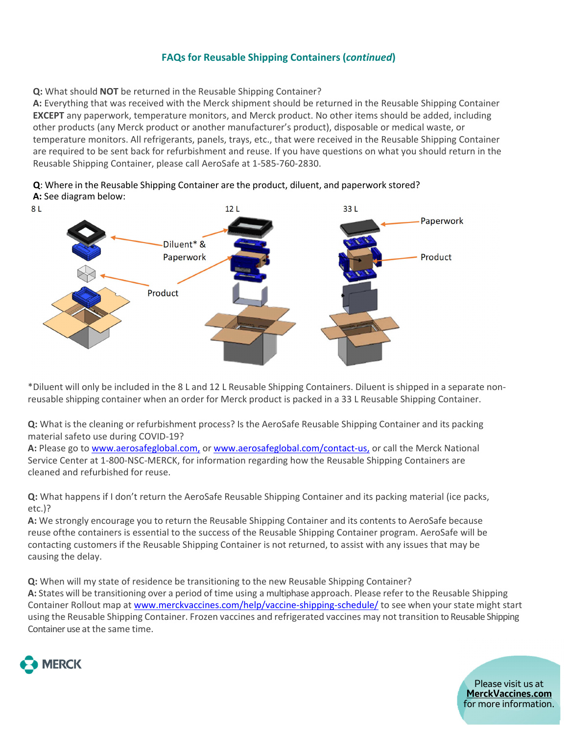## **FAQs for Reusable Shipping Containers (***continued***)**

**Q:** What should **NOT** be returned in the Reusable Shipping Container?

**A:** Everything that was received with the Merck shipment should be returned in the Reusable Shipping Container **EXCEPT** any paperwork, temperature monitors, and Merck product. No other items should be added, including other products (any Merck product or another manufacturer's product), disposable or medical waste, or temperature monitors. All refrigerants, panels, trays, etc., that were received in the Reusable Shipping Container are required to be sent back for refurbishment and reuse. If you have questions on what you should return in the Reusable Shipping Container, please call AeroSafe at 1‐585‐760‐2830.



**Q**: Where in the Reusable Shipping Container are the product, diluent, and paperwork stored? **A:** See diagram below:

\*Diluent will only be included in the 8 L and 12 L Reusable Shipping Containers. Diluent is shipped in a separate non‐ reusable shipping container when an order for Merck product is packed in a 33 L Reusable Shipping Container.

**Q:** What is the cleaning or refurbishment process? Is the AeroSafe Reusable Shipping Container and its packing material safeto use during COVID‐19?

A: Please go to www.aerosafeglobal.com, or www.aerosafeglobal.com/contact-us, or call the Merck National Service Center at 1‐800‐NSC‐MERCK, for information regarding how the Reusable Shipping Containers are cleaned and refurbished for reuse.

**Q:** What happens if I don't return the AeroSafe Reusable Shipping Container and its packing material (ice packs, etc.)?

**A:** We strongly encourage you to return the Reusable Shipping Container and its contents to AeroSafe because reuse ofthe containers is essential to the success of the Reusable Shipping Container program. AeroSafe will be contacting customers if the Reusable Shipping Container is not returned, to assist with any issues that may be causing the delay.

**Q:** When will my state of residence be transitioning to the new Reusable Shipping Container? **A:** States will be transitioning over a period of time using a multiphase approach. Please refer to the Reusable Shipping Container Rollout map at www.merckvaccines.com/help/vaccine-shipping-schedule/ to see when your state might start using the Reusable Shipping Container. Frozen vaccines and refrigerated vaccines may not transition to Reusable Shipping Container use at the same time.



Please visit us at **MerckVaccines.com**  for more information.